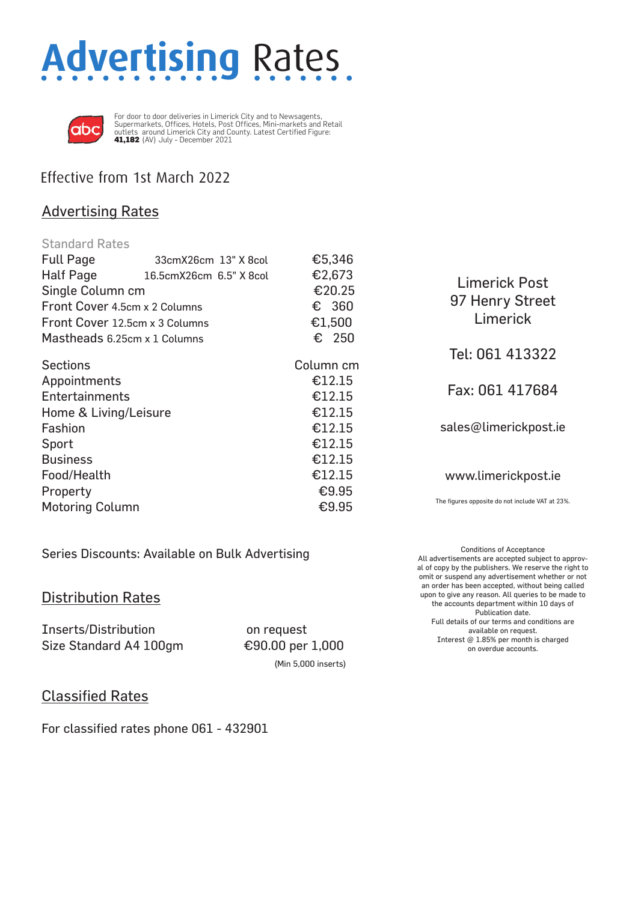# **Advertising** Rates



For door to door deliveries in Limerick City and to Newsagents, Supermarkets, Offices, Hotels, Post Offices, Mini-markets and Retail outlets around Limerick City and County. Latest Certified Figure: 41,182 (AV) July - December 2021

## Effective from 1st March 2022

### Advertising Rates

| <b>Standard Rates</b>          |                         |                      |                                                 |
|--------------------------------|-------------------------|----------------------|-------------------------------------------------|
| <b>Full Page</b>               | 33cmX26cm 13" X 8col    | €5,346               |                                                 |
| Half Page                      | 16.5cmX26cm 6.5" X 8col | €2,673               | <b>Limerick Post</b>                            |
| Single Column cm               |                         | €20.25               | 97 Henry Street<br>Limerick                     |
| Front Cover 4.5cm x 2 Columns  |                         | $\epsilon$ 360       |                                                 |
| Front Cover 12.5cm x 3 Columns |                         | €1,500               |                                                 |
| Mastheads 6.25cm x 1 Columns   |                         | € 250                |                                                 |
| <b>Sections</b>                |                         | Column <sub>cm</sub> | Tel: 061 413322                                 |
| Appointments                   |                         | €12.15               |                                                 |
| <b>Entertainments</b>          |                         | €12.15               | Fax: 061 417684                                 |
| Home & Living/Leisure          |                         | €12.15               |                                                 |
| Fashion                        |                         | €12.15               | sales@limerickpost.ie                           |
| Sport                          |                         | €12.15               |                                                 |
| <b>Business</b>                |                         | €12.15               |                                                 |
| Food/Health                    |                         | €12.15               | www.limerickpost.ie                             |
| Property                       |                         | €9.95                |                                                 |
| <b>Motoring Column</b>         |                         | €9.95                | The figures opposite do not include VAT at 23%. |

Series Discounts: Available on Bulk Advertising

### Distribution Rates

Inserts/Distribution on request Size Standard A4 100gm €90.00 per 1,000

(Min 5,000 inserts)

Conditions of Acceptance All advertisements are accepted subject to approval of copy by the publishers. We reserve the right to omit or suspend any advertisement whether or not an order has been accepted, without being called upon to give any reason. All queries to be made to the accounts department within 10 days of Publication date. Full details of our terms and conditions are available on request. Interest @ 1.85% per month is charged on overdue accounts.

### Classified Rates

For classified rates phone 061 - 432901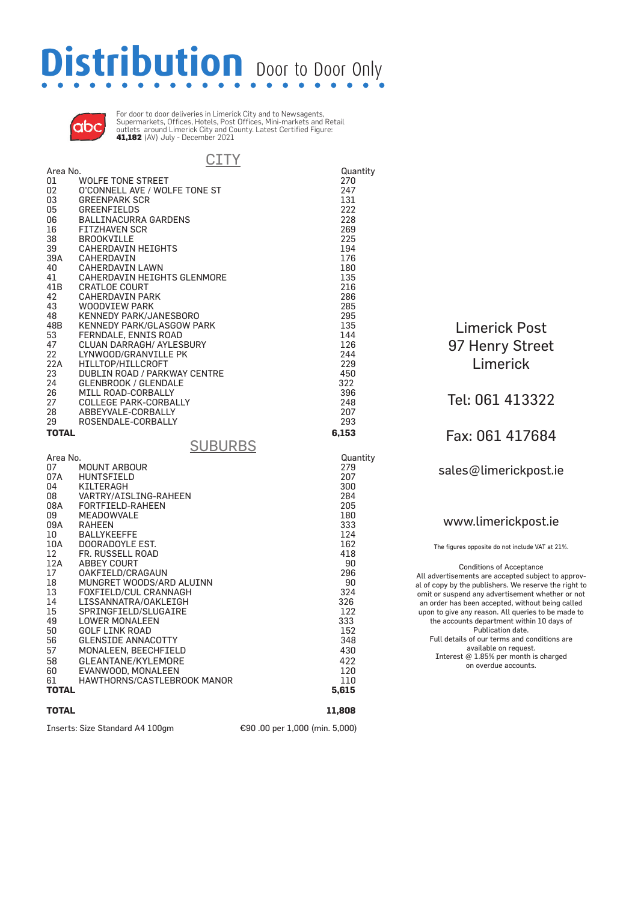# **Distribution** Door to Door Only



For door to door deliveries in Limerick City and to Newsagents, Supermarkets, Offices, Hotels, Post Offices, Mini-markets and Retail outlets around Limerick City and County. Latest Certified Figure: 41,182 (AV) July - December 2021

|                   | CITY                             |          |
|-------------------|----------------------------------|----------|
| Area No.          |                                  | Quantity |
| 01                | <b>WOLFE TONE STREET</b>         | 270      |
| 02                | O'CONNELL AVE / WOLFE TONE ST    | 247      |
|                   |                                  |          |
| 03                | <b>GREENPARK SCR</b>             | 131      |
| 05                | <b>GREENFIELDS</b>               | 222      |
| 06                | <b>BALLINACURRA GARDENS</b>      | 228      |
| 16                | <b>FITZHAVEN SCR</b>             | 269      |
| 38                | <b>BROOKVILLE</b>                | 225      |
| 39                | <b>CAHERDAVIN HEIGHTS</b>        | 194      |
| 39A               | CAHERDAVIN                       | 176      |
| 40                | <b>CAHERDAVIN LAWN</b>           | 180      |
| 41                | CAHERDAVIN HEIGHTS GLENMORE      | 135      |
| 41B               | <b>CRATLOE COURT</b>             | 216      |
| 42                | <b>CAHERDAVIN PARK</b>           | 286      |
| 43                | <b>WOODVIEW PARK</b>             | 285      |
| 48                | <b>KENNEDY PARK/JANESBORO</b>    | 295      |
| 48B               | <b>KENNEDY PARK/GLASGOW PARK</b> | 135      |
| 53                | FERNDALE, ENNIS ROAD             | 144      |
| 47                | CLUAN DARRAGH/ AYLESBURY         | 126      |
| 22                | LYNWOOD/GRANVILLE PK             | 244      |
| 22A               | HILLTOP/HILLCROFT                | 229      |
| 23                | DUBLIN ROAD / PARKWAY CENTRE     | 450      |
| 24                | <b>GLENBROOK / GLENDALE</b>      | 322      |
| 26                | MILL ROAD-CORBALLY               | 396      |
| 27                | <b>COLLEGE PARK-CORBALLY</b>     | 248      |
| 28                | ABBEYVALE-CORBALLY               | 207      |
|                   |                                  |          |
| 29                | ROSENDALE-CORBALLY               | 293      |
| <b>TOTAL</b>      |                                  | 6,153    |
|                   | <b>SUBURBS</b>                   |          |
| Area No.          |                                  | Quantity |
| 07                | <b>MOUNT ARBOUR</b>              | 279      |
| 07A               | <b>HUNTSFIELD</b>                | 207      |
| 04                | KILTERAGH                        |          |
| 08                | VARTRY/AISLING-RAHEEN            |          |
|                   |                                  | 300      |
|                   |                                  | 284      |
| 08A               | FORTFIELD-RAHEEN                 | 205      |
| 09                | <b>MEADOWVALE</b>                | 180      |
| 09A               | <b>RAHEEN</b>                    | 333      |
| 10                | <b>BALLYKEEFFE</b>               | 124      |
| 10A               | DOORADOYLE EST.                  | 162      |
| $12 \overline{ }$ | FR. RUSSELL ROAD                 | 418      |
| 12A               | <b>ABBEY COURT</b>               | 90       |
| 17                | OAKFIELD/CRAGAUN                 | 296      |
| 18                | MUNGRET WOODS/ARD ALUINN         | 90       |
| 13                | FOXFIELD/CUL CRANNAGH            | 324      |
| 14                | LISSANNATRA/OAKLEIGH             | 326      |
| 15                | SPRINGFIELD/SLUGAIRE             | 122      |
| 49                | <b>LOWER MONALEEN</b>            | 333      |
| 50                | GOLF LINK ROAD                   | 152      |
| 56                | <b>GLENSIDE ANNACOTTY</b>        | 348      |
| 57                | MONALEEN, BEECHFIELD             | 430      |
| 58                | GLEANTANE/KYLEMORE               | 422      |
| 60                | EVANWOOD, MONALEEN               | 120      |
| 61                | HAWTHORNS/CASTLEBROOK MANOR      | 110      |
| <b>TOTAL</b>      |                                  | 5,615    |
|                   |                                  |          |
| <b>TOTAL</b>      |                                  | 11,808   |

Inserts: Size Standard A4 100gm €90 .00 per 1,000 (min. 5,000)

Limerick Post 97 Henry Street Limerick

Tel: 061 413322

Fax: 061 417684

sales@limerickpost.ie

www.limerickpost.ie

The figures opposite do not include VAT at 21%. Conditions of Acceptance All advertisements are accepted subject to approval of copy by the publishers. We reserve the right to omit or suspend any advertisement whether or not an order has been accepted, without being called upon to give any reason. All queries to be made to the accounts department within 10 days of Publication date. Full details of our terms and conditions are available on request. Interest @ 1.85% per month is charged on overdue accounts.